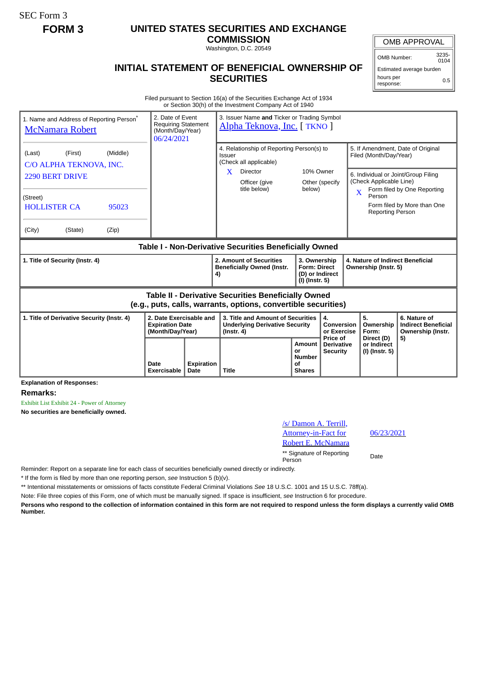SEC Form 3

## **FORM 3 UNITED STATES SECURITIES AND EXCHANGE**

**COMMISSION** Washington, D.C. 20549

OMB APPROVAL

OMB Number: 3235-  $0104$ 

Estimated average burden hours per response: 0.5

## **INITIAL STATEMENT OF BENEFICIAL OWNERSHIP OF SECURITIES**

Filed pursuant to Section 16(a) of the Securities Exchange Act of 1934 or Section 30(h) of the Investment Company Act of 1940

| 1. Name and Address of Reporting Person <sup>®</sup><br><b>McNamara Robert</b>                                        | 2. Date of Event<br><b>Requiring Statement</b><br>(Month/Day/Year)<br>06/24/2021 |                           | 3. Issuer Name and Ticker or Trading Symbol<br>Alpha Teknova, Inc. [ TKNO ]                           |                                                      |                                                                                                                                      |                                                                                                                               |                                                                 |  |  |
|-----------------------------------------------------------------------------------------------------------------------|----------------------------------------------------------------------------------|---------------------------|-------------------------------------------------------------------------------------------------------|------------------------------------------------------|--------------------------------------------------------------------------------------------------------------------------------------|-------------------------------------------------------------------------------------------------------------------------------|-----------------------------------------------------------------|--|--|
| (Middle)<br>(First)<br>(Last)<br>C/O ALPHA TEKNOVA, INC.<br><b>2290 BERT DRIVE</b>                                    |                                                                                  |                           | 4. Relationship of Reporting Person(s) to<br>Issuer<br>(Check all applicable)<br>X<br><b>Director</b> | 10% Owner                                            |                                                                                                                                      | 5. If Amendment, Date of Original<br>Filed (Month/Day/Year)<br>6. Individual or Joint/Group Filing<br>(Check Applicable Line) |                                                                 |  |  |
| (Street)<br><b>HOLLISTER CA</b><br>95023<br>(State)<br>(City)<br>(Zip)                                                |                                                                                  |                           | Officer (give<br>title below)                                                                         | below)                                               | Other (specify                                                                                                                       | $\overline{\mathbf{X}}$<br>Person<br><b>Reporting Person</b>                                                                  | Form filed by One Reporting<br>Form filed by More than One      |  |  |
| Table I - Non-Derivative Securities Beneficially Owned                                                                |                                                                                  |                           |                                                                                                       |                                                      |                                                                                                                                      |                                                                                                                               |                                                                 |  |  |
| 1. Title of Security (Instr. 4)                                                                                       |                                                                                  |                           | 2. Amount of Securities<br><b>Beneficially Owned (Instr.</b><br>4)                                    |                                                      | 3. Ownership<br>4. Nature of Indirect Beneficial<br><b>Form: Direct</b><br>Ownership (Instr. 5)<br>(D) or Indirect<br>(I) (Instr. 5) |                                                                                                                               |                                                                 |  |  |
| Table II - Derivative Securities Beneficially Owned<br>(e.g., puts, calls, warrants, options, convertible securities) |                                                                                  |                           |                                                                                                       |                                                      |                                                                                                                                      |                                                                                                                               |                                                                 |  |  |
| 2. Date Exercisable and<br>1. Title of Derivative Security (Instr. 4)<br><b>Expiration Date</b><br>(Month/Day/Year)   |                                                                                  |                           | 3. Title and Amount of Securities<br>4.<br><b>Underlying Derivative Security</b><br>$($ lnstr. 4 $)$  |                                                      | Conversion<br>or Exercise                                                                                                            | 5.<br>Ownership<br>Form:                                                                                                      | 6. Nature of<br><b>Indirect Beneficial</b><br>Ownership (Instr. |  |  |
|                                                                                                                       | Date<br>Exercisable                                                              | <b>Expiration</b><br>Date | <b>Title</b>                                                                                          | Amount<br>or<br><b>Number</b><br>Οf<br><b>Shares</b> | Price of<br><b>Derivative</b><br><b>Security</b>                                                                                     | Direct (D)<br>or Indirect<br>(I) (Instr. 5)                                                                                   | 5)                                                              |  |  |

**Explanation of Responses:**

**Remarks:**

Exhibit List Exhibit 24 - Power of Attorney

**No securities are beneficially owned.**

| /s/ Damon A. Terrill,               |             |
|-------------------------------------|-------------|
| <b>Attorney-in-Fact for</b>         | 06/2        |
| Robert E. McNamara                  |             |
| ** Signature of Reporting<br>Person | <b>Date</b> |

06/23/2021

Reminder: Report on a separate line for each class of securities beneficially owned directly or indirectly.

\* If the form is filed by more than one reporting person, *see* Instruction 5 (b)(v).

\*\* Intentional misstatements or omissions of facts constitute Federal Criminal Violations *See* 18 U.S.C. 1001 and 15 U.S.C. 78ff(a).

Note: File three copies of this Form, one of which must be manually signed. If space is insufficient, *see* Instruction 6 for procedure.

**Persons who respond to the collection of information contained in this form are not required to respond unless the form displays a currently valid OMB Number.**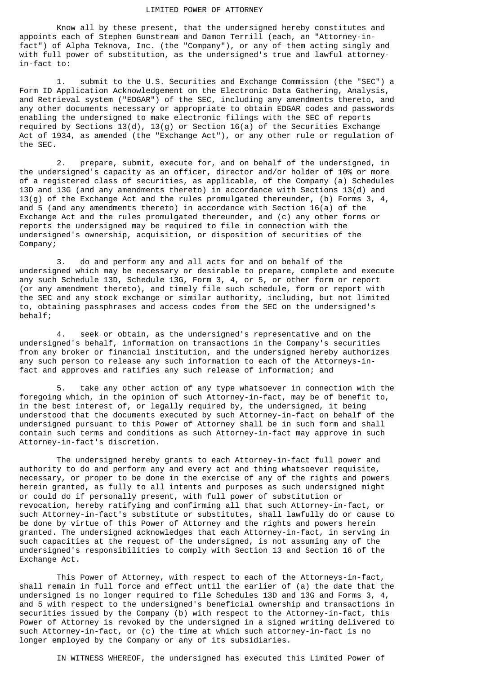## LIMITED POWER OF ATTORNEY

 Know all by these present, that the undersigned hereby constitutes and appoints each of Stephen Gunstream and Damon Terrill (each, an "Attorney-infact") of Alpha Teknova, Inc. (the "Company"), or any of them acting singly and with full power of substitution, as the undersigned's true and lawful attorneyin-fact to:

 1. submit to the U.S. Securities and Exchange Commission (the "SEC") a Form ID Application Acknowledgement on the Electronic Data Gathering, Analysis, and Retrieval system ("EDGAR") of the SEC, including any amendments thereto, and any other documents necessary or appropriate to obtain EDGAR codes and passwords enabling the undersigned to make electronic filings with the SEC of reports required by Sections 13(d), 13(g) or Section 16(a) of the Securities Exchange Act of 1934, as amended (the "Exchange Act"), or any other rule or regulation of the SEC.

 2. prepare, submit, execute for, and on behalf of the undersigned, in the undersigned's capacity as an officer, director and/or holder of 10% or more of a registered class of securities, as applicable, of the Company (a) Schedules 13D and 13G (and any amendments thereto) in accordance with Sections 13(d) and 13(g) of the Exchange Act and the rules promulgated thereunder, (b) Forms 3, 4, and 5 (and any amendments thereto) in accordance with Section 16(a) of the Exchange Act and the rules promulgated thereunder, and (c) any other forms or reports the undersigned may be required to file in connection with the undersigned's ownership, acquisition, or disposition of securities of the Company;

 3. do and perform any and all acts for and on behalf of the undersigned which may be necessary or desirable to prepare, complete and execute any such Schedule 13D, Schedule 13G, Form 3, 4, or 5, or other form or report (or any amendment thereto), and timely file such schedule, form or report with the SEC and any stock exchange or similar authority, including, but not limited to, obtaining passphrases and access codes from the SEC on the undersigned's behalf;

 4. seek or obtain, as the undersigned's representative and on the undersigned's behalf, information on transactions in the Company's securities from any broker or financial institution, and the undersigned hereby authorizes any such person to release any such information to each of the Attorneys-infact and approves and ratifies any such release of information; and

 5. take any other action of any type whatsoever in connection with the foregoing which, in the opinion of such Attorney-in-fact, may be of benefit to, in the best interest of, or legally required by, the undersigned, it being understood that the documents executed by such Attorney-in-fact on behalf of the undersigned pursuant to this Power of Attorney shall be in such form and shall contain such terms and conditions as such Attorney-in-fact may approve in such Attorney-in-fact's discretion.

 The undersigned hereby grants to each Attorney-in-fact full power and authority to do and perform any and every act and thing whatsoever requisite, necessary, or proper to be done in the exercise of any of the rights and powers herein granted, as fully to all intents and purposes as such undersigned might or could do if personally present, with full power of substitution or revocation, hereby ratifying and confirming all that such Attorney-in-fact, or such Attorney-in-fact's substitute or substitutes, shall lawfully do or cause to be done by virtue of this Power of Attorney and the rights and powers herein granted. The undersigned acknowledges that each Attorney-in-fact, in serving in such capacities at the request of the undersigned, is not assuming any of the undersigned's responsibilities to comply with Section 13 and Section 16 of the Exchange Act.

 This Power of Attorney, with respect to each of the Attorneys-in-fact, shall remain in full force and effect until the earlier of (a) the date that the undersigned is no longer required to file Schedules 13D and 13G and Forms 3, 4, and 5 with respect to the undersigned's beneficial ownership and transactions in securities issued by the Company (b) with respect to the Attorney-in-fact, this Power of Attorney is revoked by the undersigned in a signed writing delivered to such Attorney-in-fact, or (c) the time at which such attorney-in-fact is no longer employed by the Company or any of its subsidiaries.

IN WITNESS WHEREOF, the undersigned has executed this Limited Power of